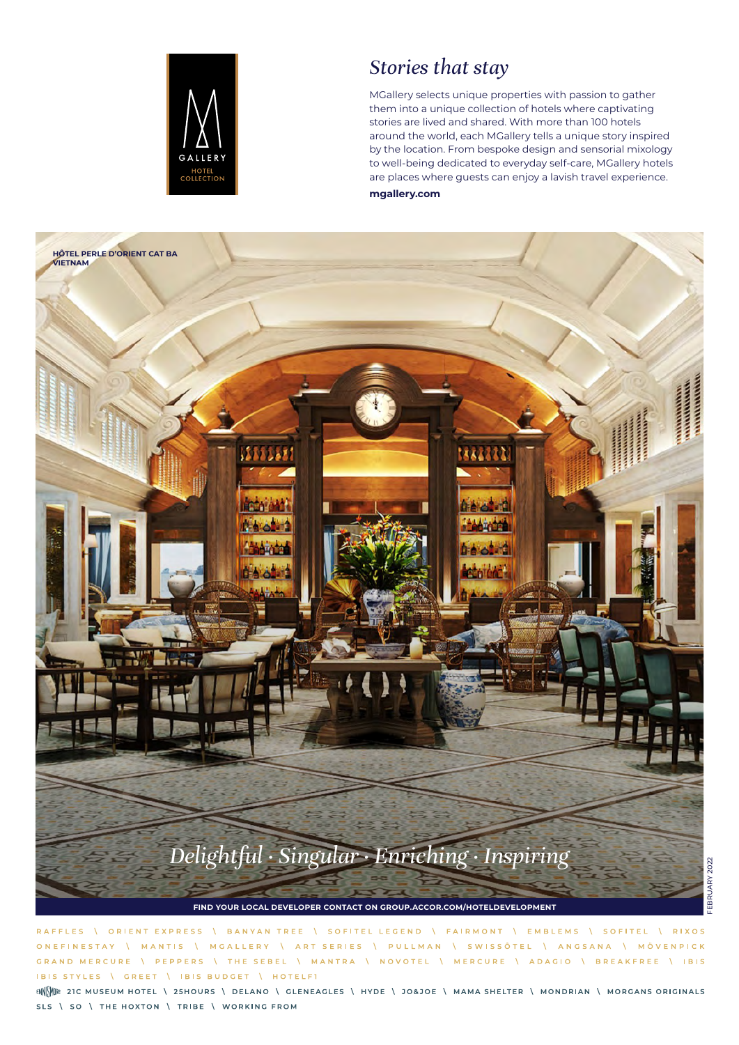

### *Stories that stay*

MGallery selects unique properties with passion to gather them into a unique collection of hotels where captivating stories are lived and shared. With more than 100 hotels around the world, each MGallery tells a unique story inspired by the location. From bespoke design and sensorial mixology to well-being dedicated to everyday self-care, MGallery hotels are places where guests can enjoy a lavish travel experience. **mgallery.com**



RAFFLES **VORIENT EXPRESS** \ BANYAN TREE \ SOFITEL LEGEND \ FAIRMONT \ EMBLEMS \ SOFITEL  $\sqrt{P[XOS]}$ \ ART SERIES \ PULLMAN \ SWISSÔTEL \ ANGSANA \ MÖVENPICK **ONEEINESTAY** V MANTIS V MGALLERY GRAND MERCURE **\PEPPERS INTHE SEBEL** \ MANTRA \ NOVOTEL \ MERCURE \ ADAGIO \ BREAKFREE \ IBIS IBIS STYLES \ GREET | IBIS BUDGET | HOTELFI

ENNE ENCORRER TO THE MUSEUM HOTEL \ 25HOURS \ DELANO \ GLENEAGLES \ HYDE \ JO&JOE \ MAMA SHELTER \ MONDRIAN \ MORGANS ORIGINALS SLS \ SO \ THE HOXTON \ TRIBE \ WORKING FROM